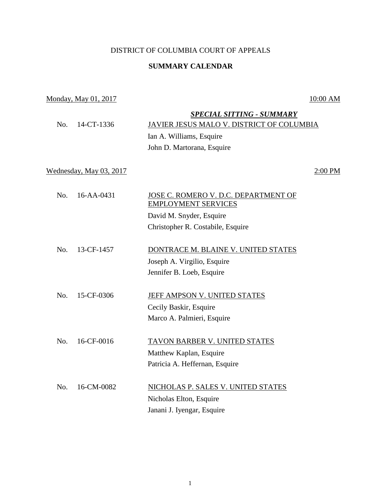## DISTRICT OF COLUMBIA COURT OF APPEALS

### **SUMMARY CALENDAR**

# Monday, May 01, 2017 10:00 AM

| 14-CT-1336<br>No.       | <b>SPECIAL SITTING - SUMMARY</b><br>JAVIER JESUS MALO V. DISTRICT OF COLUMBIA<br>Ian A. Williams, Esquire<br>John D. Martorana, Esquire |
|-------------------------|-----------------------------------------------------------------------------------------------------------------------------------------|
| Wednesday, May 03, 2017 | 2:00 PM                                                                                                                                 |
| No.<br>16-AA-0431       | JOSE C. ROMERO V. D.C. DEPARTMENT OF<br><b>EMPLOYMENT SERVICES</b><br>David M. Snyder, Esquire<br>Christopher R. Costabile, Esquire     |
| No.<br>13-CF-1457       | DONTRACE M. BLAINE V. UNITED STATES<br>Joseph A. Virgilio, Esquire<br>Jennifer B. Loeb, Esquire                                         |
| 15-CF-0306<br>No.       | JEFF AMPSON V. UNITED STATES<br>Cecily Baskir, Esquire<br>Marco A. Palmieri, Esquire                                                    |
| 16-CF-0016<br>No.       | TAVON BARBER V. UNITED STATES<br>Matthew Kaplan, Esquire<br>Patricia A. Heffernan, Esquire                                              |
| 16-CM-0082<br>No.       | NICHOLAS P. SALES V. UNITED STATES                                                                                                      |

Nicholas Elton, Esquire Janani J. Iyengar, Esquire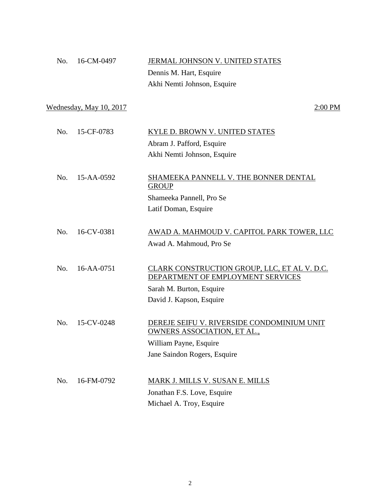| No. 16-CM-0497 | <b>JERMAL JOHNSON V. UNITED STATES</b> |
|----------------|----------------------------------------|
|                | Dennis M. Hart, Esquire                |
|                | Akhi Nemti Johnson, Esquire            |

Wednesday, May  $10, 2017$  2:00 PM

| No. 15-CF-0783 | KYLE D. BROWN V. UNITED STATES |
|----------------|--------------------------------|
|                | Abram J. Pafford, Esquire      |
|                | Akhi Nemti Johnson, Esquire    |
|                |                                |

No. 15-AA-0592 SHAMEEKA PANNELL V. THE BONNER DENTAL **GROUP** Shameeka Pannell, Pro Se Latif Doman, Esquire

No. 16-CV-0381 AWAD A. MAHMOUD V. CAPITOL PARK TOWER, LLC Awad A. Mahmoud, Pro Se

 No. 16-AA-0751 CLARK CONSTRUCTION GROUP, LLC, ET AL V. D.C. DEPARTMENT OF EMPLOYMENT SERVICES Sarah M. Burton, Esquire David J. Kapson, Esquire

 No. 15-CV-0248 DEREJE SEIFU V. RIVERSIDE CONDOMINIUM UNIT OWNERS ASSOCIATION, ET AL., William Payne, Esquire Jane Saindon Rogers, Esquire

 No. 16-FM-0792 MARK J. MILLS V. SUSAN E. MILLS Jonathan F.S. Love, Esquire Michael A. Troy, Esquire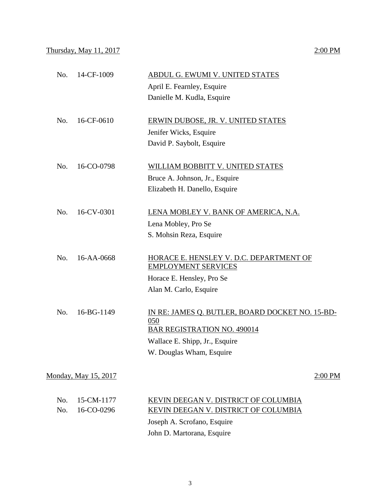|     |                      | April E. Fearnley, Esquire                                                                          |
|-----|----------------------|-----------------------------------------------------------------------------------------------------|
|     |                      | Danielle M. Kudla, Esquire                                                                          |
| No. | 16-CF-0610           | ERWIN DUBOSE, JR. V. UNITED STATES                                                                  |
|     |                      | Jenifer Wicks, Esquire                                                                              |
|     |                      | David P. Saybolt, Esquire                                                                           |
| No. | 16-CO-0798           | <b>WILLIAM BOBBITT V. UNITED STATES</b>                                                             |
|     |                      | Bruce A. Johnson, Jr., Esquire                                                                      |
|     |                      | Elizabeth H. Danello, Esquire                                                                       |
| No. | 16-CV-0301           | LENA MOBLEY V. BANK OF AMERICA, N.A.                                                                |
|     |                      | Lena Mobley, Pro Se                                                                                 |
|     |                      | S. Mohsin Reza, Esquire                                                                             |
| No. | 16-AA-0668           | HORACE E. HENSLEY V. D.C. DEPARTMENT OF<br><b>EMPLOYMENT SERVICES</b>                               |
|     |                      | Horace E. Hensley, Pro Se                                                                           |
|     |                      | Alan M. Carlo, Esquire                                                                              |
| No. | 16-BG-1149           | <u>IN RE: JAMES Q. BUTLER, BOARD DOCKET NO. 15-BD-</u><br>050<br><b>BAR REGISTRATION NO. 490014</b> |
|     |                      | Wallace E. Shipp, Jr., Esquire                                                                      |
|     |                      | W. Douglas Wham, Esquire                                                                            |
|     | Monday, May 15, 2017 | $2:00$ PM                                                                                           |
| No. | 15-CM-1177           | KEVIN DEEGAN V. DISTRICT OF COLUMBIA                                                                |
| No. | 16-CO-0296           | KEVIN DEEGAN V. DISTRICT OF COLUMBIA                                                                |
|     |                      | Joseph A. Scrofano, Esquire                                                                         |
|     |                      | John D. Martorana, Esquire                                                                          |

No. 14-CF-1009 ABDUL G. EWUMI V. UNITED STATES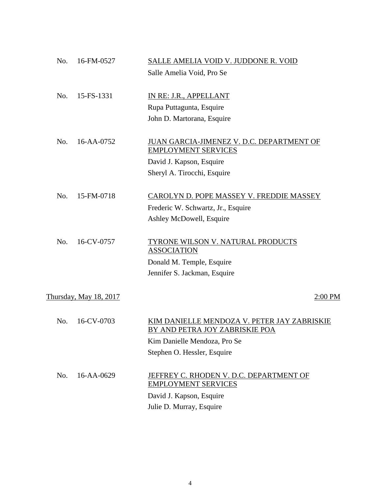| No. | 16-FM-0527             | SALLE AMELIA VOID V. JUDDONE R. VOID            |
|-----|------------------------|-------------------------------------------------|
|     |                        | Salle Amelia Void, Pro Se                       |
|     |                        |                                                 |
| No. | 15-FS-1331             | IN RE: J.R., APPELLANT                          |
|     |                        | Rupa Puttagunta, Esquire                        |
|     |                        | John D. Martorana, Esquire                      |
| No. | 16-AA-0752             | JUAN GARCIA-JIMENEZ V. D.C. DEPARTMENT OF       |
|     |                        | <b>EMPLOYMENT SERVICES</b>                      |
|     |                        | David J. Kapson, Esquire                        |
|     |                        | Sheryl A. Tirocchi, Esquire                     |
| No. | 15-FM-0718             | <b>CAROLYN D. POPE MASSEY V. FREDDIE MASSEY</b> |
|     |                        | Frederic W. Schwartz, Jr., Esquire              |
|     |                        | Ashley McDowell, Esquire                        |
|     |                        |                                                 |
| No. | 16-CV-0757             | TYRONE WILSON V. NATURAL PRODUCTS               |
|     |                        | <b>ASSOCIATION</b>                              |
|     |                        | Donald M. Temple, Esquire                       |
|     |                        | Jennifer S. Jackman, Esquire                    |
|     |                        |                                                 |
|     | Thursday, May 18, 2017 | 2:00 PM                                         |
| No. | 16-CV-0703             | KIM DANIELLE MENDOZA V. PETER JAY ZABRISKIE     |
|     |                        | BY AND PETRA JOY ZABRISKIE POA                  |
|     |                        | Kim Danielle Mendoza, Pro Se                    |
|     |                        | Stephen O. Hessler, Esquire                     |
| No. | 16-AA-0629             | JEFFREY C. RHODEN V. D.C. DEPARTMENT OF         |
|     |                        | <b>EMPLOYMENT SERVICES</b>                      |
|     |                        | David J. Kapson, Esquire                        |
|     |                        | Julie D. Murray, Esquire                        |
|     |                        |                                                 |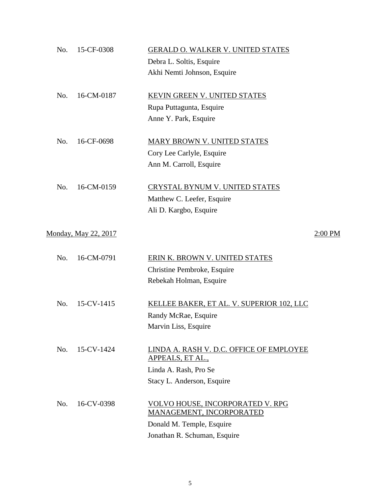| No. | 15-CF-0308           | <b>GERALD O. WALKER V. UNITED STATES</b>                     |         |
|-----|----------------------|--------------------------------------------------------------|---------|
|     |                      | Debra L. Soltis, Esquire                                     |         |
|     |                      | Akhi Nemti Johnson, Esquire                                  |         |
| No. | 16-CM-0187           | KEVIN GREEN V. UNITED STATES                                 |         |
|     |                      | Rupa Puttagunta, Esquire                                     |         |
|     |                      | Anne Y. Park, Esquire                                        |         |
| No. | 16-CF-0698           | MARY BROWN V. UNITED STATES                                  |         |
|     |                      | Cory Lee Carlyle, Esquire                                    |         |
|     |                      | Ann M. Carroll, Esquire                                      |         |
| No. | 16-CM-0159           | <b>CRYSTAL BYNUM V. UNITED STATES</b>                        |         |
|     |                      | Matthew C. Leefer, Esquire                                   |         |
|     |                      | Ali D. Kargbo, Esquire                                       |         |
|     | Monday, May 22, 2017 |                                                              | 2:00 PM |
| No. | 16-CM-0791           | ERIN K. BROWN V. UNITED STATES                               |         |
|     |                      | Christine Pembroke, Esquire                                  |         |
|     |                      | Rebekah Holman, Esquire                                      |         |
| No. | 15-CV-1415           | KELLEE BAKER, ET AL. V. SUPERIOR 102, LLC                    |         |
|     |                      | Randy McRae, Esquire                                         |         |
|     |                      | Marvin Liss, Esquire                                         |         |
| No. | 15-CV-1424           | LINDA A. RASH V. D.C. OFFICE OF EMPLOYEE<br>APPEALS, ET AL., |         |
|     |                      | Linda A. Rash, Pro Se                                        |         |
|     |                      | Stacy L. Anderson, Esquire                                   |         |
| No. | 16-CV-0398           | VOLVO HOUSE, INCORPORATED V. RPG                             |         |
|     |                      | MANAGEMENT, INCORPORATED                                     |         |
|     |                      | Donald M. Temple, Esquire                                    |         |
|     |                      | Jonathan R. Schuman, Esquire                                 |         |